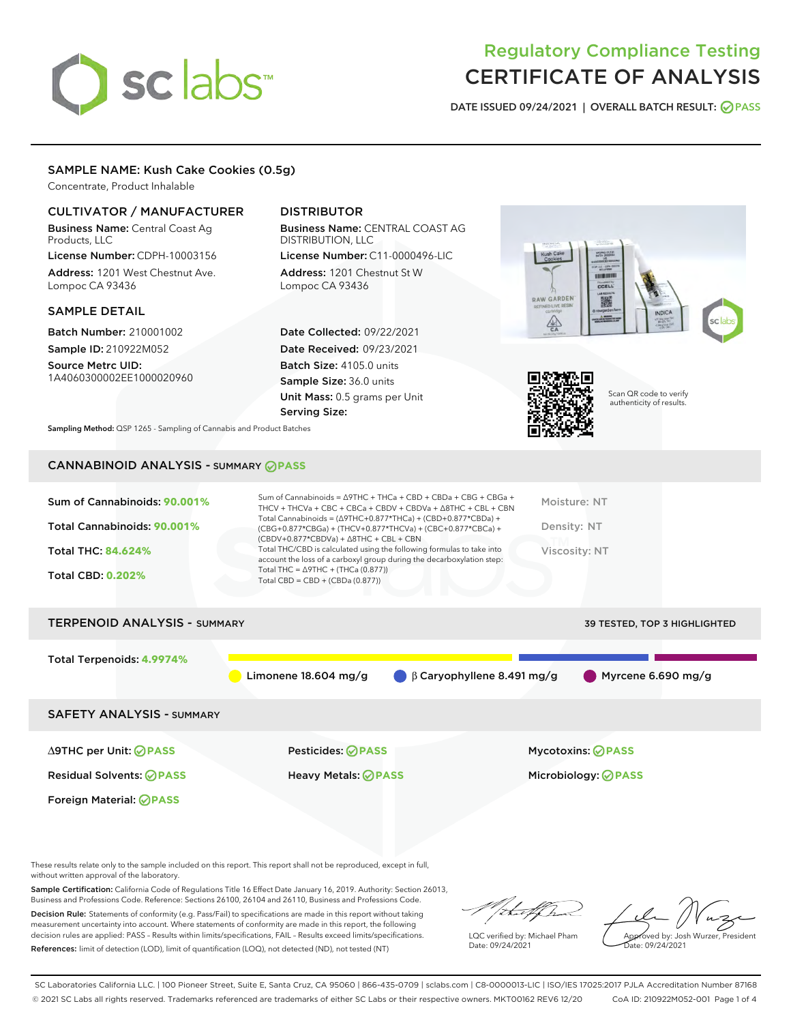# sclabs<sup>\*</sup>

# Regulatory Compliance Testing CERTIFICATE OF ANALYSIS

DATE ISSUED 09/24/2021 | OVERALL BATCH RESULT: @ PASS

#### SAMPLE NAME: Kush Cake Cookies (0.5g)

Concentrate, Product Inhalable

#### CULTIVATOR / MANUFACTURER

Business Name: Central Coast Ag Products, LLC

License Number: CDPH-10003156 Address: 1201 West Chestnut Ave. Lompoc CA 93436

#### SAMPLE DETAIL

Batch Number: 210001002 Sample ID: 210922M052

Source Metrc UID: 1A4060300002EE1000020960

### DISTRIBUTOR

Business Name: CENTRAL COAST AG DISTRIBUTION, LLC License Number: C11-0000496-LIC

Address: 1201 Chestnut St W Lompoc CA 93436

Date Collected: 09/22/2021 Date Received: 09/23/2021 Batch Size: 4105.0 units Sample Size: 36.0 units Unit Mass: 0.5 grams per Unit Serving Size:





Scan QR code to verify authenticity of results.

Sampling Method: QSP 1265 - Sampling of Cannabis and Product Batches

## CANNABINOID ANALYSIS - SUMMARY **PASS**

| Sum of Cannabinoids: 90.001%<br>Total Cannabinoids: 90.001%<br>Total THC: 84.624%<br><b>Total CBD: 0.202%</b> | Sum of Cannabinoids = $\triangle$ 9THC + THCa + CBD + CBDa + CBG + CBGa +<br>THCV + THCVa + CBC + CBCa + CBDV + CBDVa + $\Delta$ 8THC + CBL + CBN<br>Total Cannabinoids = $(\Delta$ 9THC+0.877*THCa) + (CBD+0.877*CBDa) +<br>(CBG+0.877*CBGa) + (THCV+0.877*THCVa) + (CBC+0.877*CBCa) +<br>$(CBDV+0.877*CBDVa) + \Delta 8THC + CBL + CBN$<br>Total THC/CBD is calculated using the following formulas to take into<br>account the loss of a carboxyl group during the decarboxylation step:<br>Total THC = $\triangle$ 9THC + (THCa (0.877))<br>Total CBD = $CBD + (CBDa (0.877))$ | Moisture: NT<br>Density: NT<br>Viscosity: NT |
|---------------------------------------------------------------------------------------------------------------|------------------------------------------------------------------------------------------------------------------------------------------------------------------------------------------------------------------------------------------------------------------------------------------------------------------------------------------------------------------------------------------------------------------------------------------------------------------------------------------------------------------------------------------------------------------------------------|----------------------------------------------|
| <b>TERPENOID ANALYSIS - SUMMARY</b>                                                                           |                                                                                                                                                                                                                                                                                                                                                                                                                                                                                                                                                                                    | <b>39 TESTED, TOP 3 HIGHLIGHTED</b>          |
| Total Terpenoids: 4.9974%                                                                                     | $\beta$ Caryophyllene 8.491 mg/g<br>Limonene $18.604$ mg/g                                                                                                                                                                                                                                                                                                                                                                                                                                                                                                                         | Myrcene 6.690 mg/g                           |

SAFETY ANALYSIS - SUMMARY

∆9THC per Unit: **PASS** Pesticides: **PASS** Mycotoxins: **PASS**

Foreign Material: **PASS**

Residual Solvents: **PASS** Heavy Metals: **PASS** Microbiology: **PASS**

These results relate only to the sample included on this report. This report shall not be reproduced, except in full, without written approval of the laboratory.

Sample Certification: California Code of Regulations Title 16 Effect Date January 16, 2019. Authority: Section 26013, Business and Professions Code. Reference: Sections 26100, 26104 and 26110, Business and Professions Code.

Decision Rule: Statements of conformity (e.g. Pass/Fail) to specifications are made in this report without taking measurement uncertainty into account. Where statements of conformity are made in this report, the following decision rules are applied: PASS – Results within limits/specifications, FAIL – Results exceed limits/specifications. References: limit of detection (LOD), limit of quantification (LOQ), not detected (ND), not tested (NT)

that f ha

LQC verified by: Michael Pham Date: 09/24/2021

Approved by: Josh Wurzer, President ate: 09/24/2021

SC Laboratories California LLC. | 100 Pioneer Street, Suite E, Santa Cruz, CA 95060 | 866-435-0709 | sclabs.com | C8-0000013-LIC | ISO/IES 17025:2017 PJLA Accreditation Number 87168 © 2021 SC Labs all rights reserved. Trademarks referenced are trademarks of either SC Labs or their respective owners. MKT00162 REV6 12/20 CoA ID: 210922M052-001 Page 1 of 4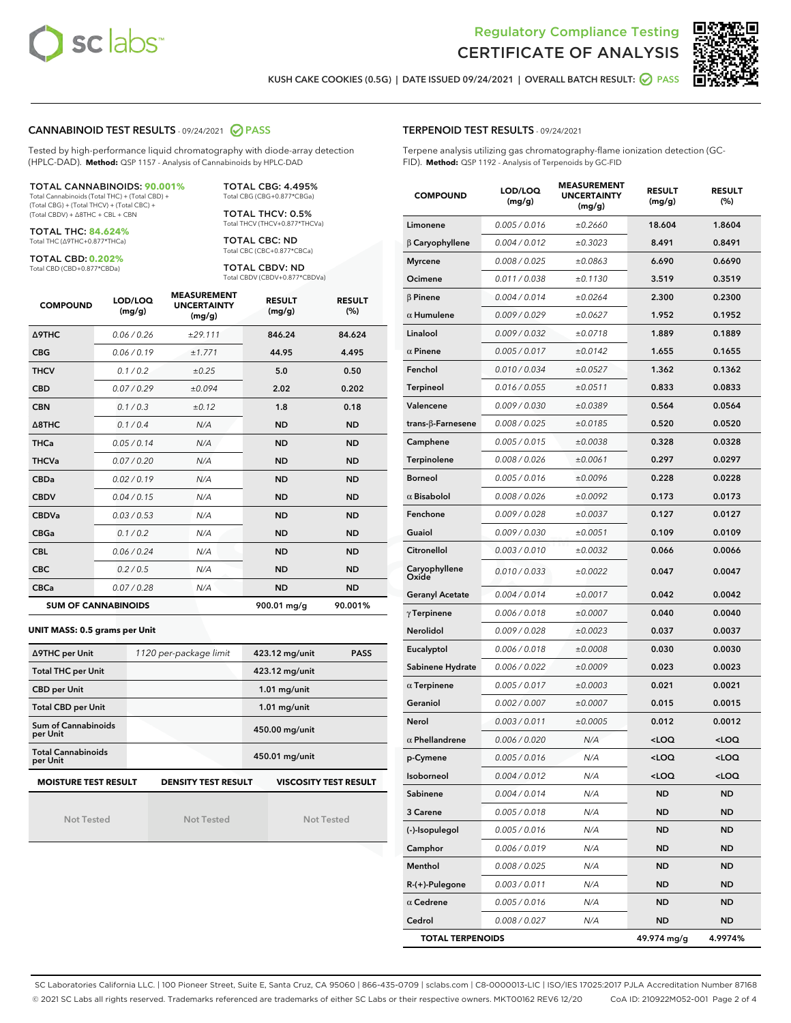



KUSH CAKE COOKIES (0.5G) | DATE ISSUED 09/24/2021 | OVERALL BATCH RESULT:  $\bigcirc$  PASS

#### CANNABINOID TEST RESULTS - 09/24/2021 2 PASS

Tested by high-performance liquid chromatography with diode-array detection (HPLC-DAD). **Method:** QSP 1157 - Analysis of Cannabinoids by HPLC-DAD

#### TOTAL CANNABINOIDS: **90.001%** Total Cannabinoids (Total THC) + (Total CBD) +

(Total CBG) + (Total THCV) + (Total CBC) + (Total CBDV) + ∆8THC + CBL + CBN

TOTAL THC: **84.624%** Total THC (∆9THC+0.877\*THCa)

TOTAL CBD: **0.202%**

Total CBD (CBD+0.877\*CBDa)

TOTAL CBG: 4.495% Total CBG (CBG+0.877\*CBGa)

TOTAL THCV: 0.5% Total THCV (THCV+0.877\*THCVa)

TOTAL CBC: ND Total CBC (CBC+0.877\*CBCa)

TOTAL CBDV: ND Total CBDV (CBDV+0.877\*CBDVa)

| <b>COMPOUND</b>            | LOD/LOQ<br>(mg/g) | <b>MEASUREMENT</b><br><b>UNCERTAINTY</b><br>(mg/g) | <b>RESULT</b><br>(mg/g) | <b>RESULT</b><br>(%) |
|----------------------------|-------------------|----------------------------------------------------|-------------------------|----------------------|
| <b>A9THC</b>               | 0.06/0.26         | ±29.111                                            | 846.24                  | 84.624               |
| <b>CBG</b>                 | 0.06/0.19         | ±1.771                                             | 44.95                   | 4.495                |
| <b>THCV</b>                | 0.1/0.2           | ±0.25                                              | 5.0                     | 0.50                 |
| <b>CBD</b>                 | 0.07/0.29         | ±0.094                                             | 2.02                    | 0.202                |
| <b>CBN</b>                 | 0.1/0.3           | ±0.12                                              | 1.8                     | 0.18                 |
| $\triangle$ 8THC           | 0.1/0.4           | N/A                                                | <b>ND</b>               | <b>ND</b>            |
| <b>THCa</b>                | 0.05/0.14         | N/A                                                | <b>ND</b>               | <b>ND</b>            |
| <b>THCVa</b>               | 0.07 / 0.20       | N/A                                                | <b>ND</b>               | <b>ND</b>            |
| <b>CBDa</b>                | 0.02/0.19         | N/A                                                | <b>ND</b>               | <b>ND</b>            |
| <b>CBDV</b>                | 0.04 / 0.15       | N/A                                                | <b>ND</b>               | <b>ND</b>            |
| <b>CBDVa</b>               | 0.03/0.53         | N/A                                                | <b>ND</b>               | <b>ND</b>            |
| <b>CBGa</b>                | 0.1 / 0.2         | N/A                                                | <b>ND</b>               | <b>ND</b>            |
| <b>CBL</b>                 | 0.06 / 0.24       | N/A                                                | <b>ND</b>               | <b>ND</b>            |
| <b>CBC</b>                 | 0.2 / 0.5         | N/A                                                | <b>ND</b>               | <b>ND</b>            |
| <b>CBCa</b>                | 0.07/0.28         | N/A                                                | <b>ND</b>               | <b>ND</b>            |
| <b>SUM OF CANNABINOIDS</b> |                   |                                                    | 900.01 mg/g             | 90.001%              |

#### **UNIT MASS: 0.5 grams per Unit**

| ∆9THC per Unit                        | 1120 per-package limit     | 423.12 mg/unit<br><b>PASS</b> |
|---------------------------------------|----------------------------|-------------------------------|
| <b>Total THC per Unit</b>             |                            | 423.12 mg/unit                |
| <b>CBD per Unit</b>                   |                            | $1.01$ mg/unit                |
| <b>Total CBD per Unit</b>             |                            | $1.01$ mg/unit                |
| Sum of Cannabinoids<br>per Unit       |                            | 450.00 mg/unit                |
| <b>Total Cannabinoids</b><br>per Unit |                            | 450.01 mg/unit                |
| <b>MOISTURE TEST RESULT</b>           | <b>DENSITY TEST RESULT</b> | <b>VISCOSITY TEST RESULT</b>  |

Not Tested

Not Tested

Not Tested

#### TERPENOID TEST RESULTS - 09/24/2021

Terpene analysis utilizing gas chromatography-flame ionization detection (GC-FID). **Method:** QSP 1192 - Analysis of Terpenoids by GC-FID

| <b>COMPOUND</b>         | LOD/LOQ<br>(mg/g) | <b>MEASUREMENT</b><br><b>UNCERTAINTY</b><br>(mg/g) | <b>RESULT</b><br>(mg/g)                         | <b>RESULT</b><br>(%) |
|-------------------------|-------------------|----------------------------------------------------|-------------------------------------------------|----------------------|
| Limonene                | 0.005 / 0.016     | ±0.2660                                            | 18.604                                          | 1.8604               |
| $\beta$ Caryophyllene   | 0.004 / 0.012     | ±0.3023                                            | 8.491                                           | 0.8491               |
| <b>Myrcene</b>          | 0.008 / 0.025     | ±0.0863                                            | 6.690                                           | 0.6690               |
| Ocimene                 | 0.011 / 0.038     | ±0.1130                                            | 3.519                                           | 0.3519               |
| $\beta$ Pinene          | 0.004 / 0.014     | ±0.0264                                            | 2.300                                           | 0.2300               |
| $\alpha$ Humulene       | 0.009/0.029       | ±0.0627                                            | 1.952                                           | 0.1952               |
| Linalool                | 0.009 / 0.032     | ±0.0718                                            | 1.889                                           | 0.1889               |
| $\alpha$ Pinene         | 0.005 / 0.017     | ±0.0142                                            | 1.655                                           | 0.1655               |
| Fenchol                 | 0.010 / 0.034     | ±0.0527                                            | 1.362                                           | 0.1362               |
| <b>Terpineol</b>        | 0.016 / 0.055     | ±0.0511                                            | 0.833                                           | 0.0833               |
| Valencene               | 0.009 / 0.030     | ±0.0389                                            | 0.564                                           | 0.0564               |
| trans-β-Farnesene       | 0.008 / 0.025     | ±0.0185                                            | 0.520                                           | 0.0520               |
| Camphene                | 0.005 / 0.015     | ±0.0038                                            | 0.328                                           | 0.0328               |
| Terpinolene             | 0.008 / 0.026     | ±0.0061                                            | 0.297                                           | 0.0297               |
| <b>Borneol</b>          | 0.005 / 0.016     | ±0.0096                                            | 0.228                                           | 0.0228               |
| $\alpha$ Bisabolol      | 0.008 / 0.026     | ±0.0092                                            | 0.173                                           | 0.0173               |
| Fenchone                | 0.009 / 0.028     | ±0.0037                                            | 0.127                                           | 0.0127               |
| Guaiol                  | 0.009 / 0.030     | ±0.0051                                            | 0.109                                           | 0.0109               |
| Citronellol             | 0.003 / 0.010     | ±0.0032                                            | 0.066                                           | 0.0066               |
| Caryophyllene<br>Oxide  | 0.010 / 0.033     | ±0.0022                                            | 0.047                                           | 0.0047               |
| <b>Geranyl Acetate</b>  | 0.004 / 0.014     | ±0.0017                                            | 0.042                                           | 0.0042               |
| $\gamma$ Terpinene      | 0.006 / 0.018     | ±0.0007                                            | 0.040                                           | 0.0040               |
| Nerolidol               | 0.009 / 0.028     | ±0.0023                                            | 0.037                                           | 0.0037               |
| Eucalyptol              | 0.006 / 0.018     | ±0.0008                                            | 0.030                                           | 0.0030               |
| Sabinene Hydrate        | 0.006 / 0.022     | ±0.0009                                            | 0.023                                           | 0.0023               |
| $\alpha$ Terpinene      | 0.005 / 0.017     | ±0.0003                                            | 0.021                                           | 0.0021               |
| Geraniol                | 0.002 / 0.007     | ±0.0007                                            | 0.015                                           | 0.0015               |
| Nerol                   | 0.003 / 0.011     | ±0.0005                                            | 0.012                                           | 0.0012               |
| $\alpha$ Phellandrene   | 0.006 / 0.020     | N/A                                                | <loq< th=""><th><loq< th=""></loq<></th></loq<> | <loq< th=""></loq<>  |
| p-Cymene                | 0.005 / 0.016     | N/A                                                | $<$ LOQ                                         | <loq< th=""></loq<>  |
| Isoborneol              | 0.004 / 0.012     | N/A                                                | <loq< th=""><th><loq< th=""></loq<></th></loq<> | <loq< th=""></loq<>  |
| Sabinene                | 0.004 / 0.014     | N/A                                                | ND                                              | <b>ND</b>            |
| 3 Carene                | 0.005 / 0.018     | N/A                                                | <b>ND</b>                                       | ND                   |
| (-)-Isopulegol          | 0.005 / 0.016     | N/A                                                | ND                                              | <b>ND</b>            |
| Camphor                 | 0.006 / 0.019     | N/A                                                | ND                                              | ND                   |
| Menthol                 | 0.008 / 0.025     | N/A                                                | ND                                              | ND                   |
| $R-(+)$ -Pulegone       | 0.003 / 0.011     | N/A                                                | ND                                              | <b>ND</b>            |
| $\alpha$ Cedrene        | 0.005 / 0.016     | N/A                                                | ND                                              | ND                   |
| Cedrol                  | 0.008 / 0.027     | N/A                                                | ND                                              | ND                   |
| <b>TOTAL TERPENOIDS</b> |                   |                                                    | 49.974 mg/g                                     | 4.9974%              |

SC Laboratories California LLC. | 100 Pioneer Street, Suite E, Santa Cruz, CA 95060 | 866-435-0709 | sclabs.com | C8-0000013-LIC | ISO/IES 17025:2017 PJLA Accreditation Number 87168 © 2021 SC Labs all rights reserved. Trademarks referenced are trademarks of either SC Labs or their respective owners. MKT00162 REV6 12/20 CoA ID: 210922M052-001 Page 2 of 4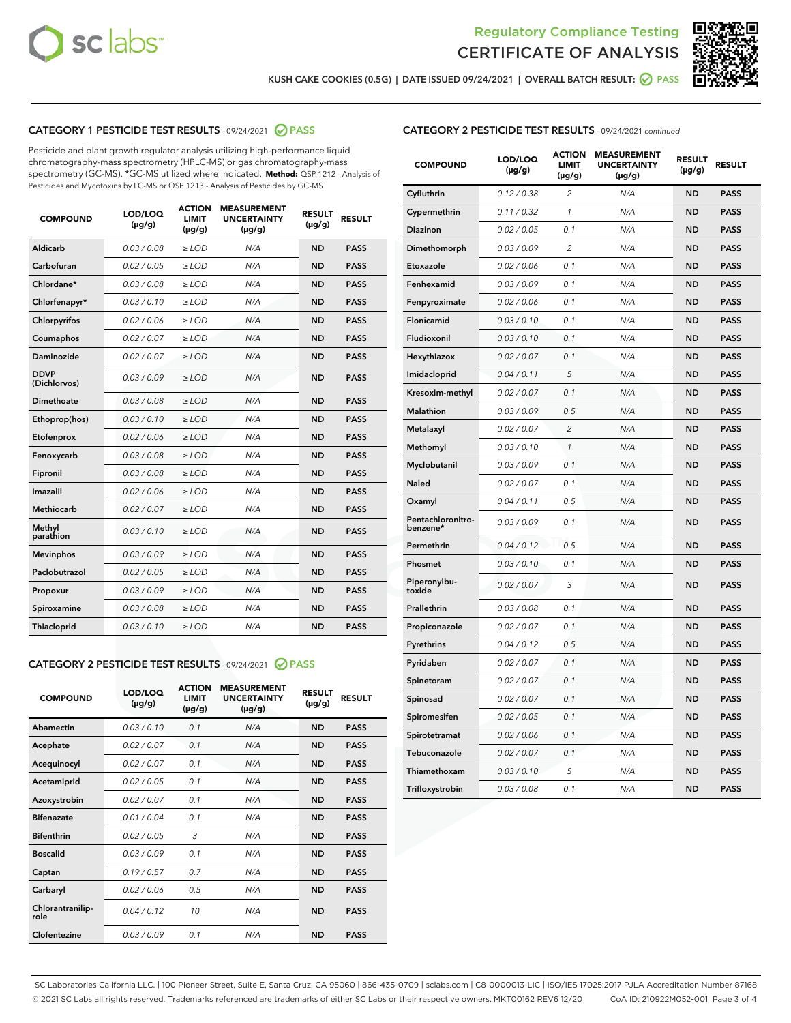



KUSH CAKE COOKIES (0.5G) | DATE ISSUED 09/24/2021 | OVERALL BATCH RESULT: @ PASS

#### CATEGORY 1 PESTICIDE TEST RESULTS - 09/24/2021 @ PASS

Pesticide and plant growth regulator analysis utilizing high-performance liquid chromatography-mass spectrometry (HPLC-MS) or gas chromatography-mass spectrometry (GC-MS). \*GC-MS utilized where indicated. **Method:** QSP 1212 - Analysis of Pesticides and Mycotoxins by LC-MS or QSP 1213 - Analysis of Pesticides by GC-MS

| <b>COMPOUND</b>             | LOD/LOQ<br>$(\mu g/g)$ | <b>ACTION</b><br><b>LIMIT</b><br>$(\mu g/g)$ | <b>MEASUREMENT</b><br><b>UNCERTAINTY</b><br>$(\mu g/g)$ | <b>RESULT</b><br>$(\mu g/g)$ | <b>RESULT</b> |
|-----------------------------|------------------------|----------------------------------------------|---------------------------------------------------------|------------------------------|---------------|
| Aldicarb                    | 0.03 / 0.08            | $\ge$ LOD                                    | N/A                                                     | <b>ND</b>                    | <b>PASS</b>   |
| Carbofuran                  | 0.02/0.05              | $>$ LOD                                      | N/A                                                     | <b>ND</b>                    | <b>PASS</b>   |
| Chlordane*                  | 0.03 / 0.08            | $\ge$ LOD                                    | N/A                                                     | <b>ND</b>                    | <b>PASS</b>   |
| Chlorfenapyr*               | 0.03/0.10              | $>$ LOD                                      | N/A                                                     | <b>ND</b>                    | <b>PASS</b>   |
| Chlorpyrifos                | 0.02 / 0.06            | $\geq$ LOD                                   | N/A                                                     | <b>ND</b>                    | <b>PASS</b>   |
| Coumaphos                   | 0.02 / 0.07            | $\ge$ LOD                                    | N/A                                                     | <b>ND</b>                    | <b>PASS</b>   |
| Daminozide                  | 0.02 / 0.07            | $\ge$ LOD                                    | N/A                                                     | <b>ND</b>                    | <b>PASS</b>   |
| <b>DDVP</b><br>(Dichlorvos) | 0.03/0.09              | $\ge$ LOD                                    | N/A                                                     | <b>ND</b>                    | <b>PASS</b>   |
| Dimethoate                  | 0.03/0.08              | $>$ LOD                                      | N/A                                                     | <b>ND</b>                    | <b>PASS</b>   |
| Ethoprop(hos)               | 0.03/0.10              | $\ge$ LOD                                    | N/A                                                     | <b>ND</b>                    | <b>PASS</b>   |
| Etofenprox                  | 0.02 / 0.06            | $\ge$ LOD                                    | N/A                                                     | <b>ND</b>                    | <b>PASS</b>   |
| Fenoxycarb                  | 0.03/0.08              | $\ge$ LOD                                    | N/A                                                     | <b>ND</b>                    | <b>PASS</b>   |
| Fipronil                    | 0.03/0.08              | $>$ LOD                                      | N/A                                                     | <b>ND</b>                    | <b>PASS</b>   |
| Imazalil                    | 0.02 / 0.06            | $\ge$ LOD                                    | N/A                                                     | <b>ND</b>                    | <b>PASS</b>   |
| <b>Methiocarb</b>           | 0.02 / 0.07            | $\ge$ LOD                                    | N/A                                                     | <b>ND</b>                    | <b>PASS</b>   |
| Methyl<br>parathion         | 0.03/0.10              | $\ge$ LOD                                    | N/A                                                     | <b>ND</b>                    | <b>PASS</b>   |
| <b>Mevinphos</b>            | 0.03/0.09              | $>$ LOD                                      | N/A                                                     | <b>ND</b>                    | <b>PASS</b>   |
| Paclobutrazol               | 0.02 / 0.05            | $\ge$ LOD                                    | N/A                                                     | <b>ND</b>                    | <b>PASS</b>   |
| Propoxur                    | 0.03/0.09              | $\ge$ LOD                                    | N/A                                                     | <b>ND</b>                    | <b>PASS</b>   |
| Spiroxamine                 | 0.03/0.08              | $\ge$ LOD                                    | N/A                                                     | <b>ND</b>                    | <b>PASS</b>   |
| Thiacloprid                 | 0.03/0.10              | $\ge$ LOD                                    | N/A                                                     | <b>ND</b>                    | <b>PASS</b>   |

#### CATEGORY 2 PESTICIDE TEST RESULTS - 09/24/2021 @ PASS

| <b>COMPOUND</b>          | LOD/LOQ<br>$(\mu g/g)$ | <b>ACTION</b><br><b>LIMIT</b><br>$(\mu g/g)$ | <b>MEASUREMENT</b><br><b>UNCERTAINTY</b><br>$(\mu g/g)$ | <b>RESULT</b><br>$(\mu g/g)$ | <b>RESULT</b> |
|--------------------------|------------------------|----------------------------------------------|---------------------------------------------------------|------------------------------|---------------|
| Abamectin                | 0.03/0.10              | 0.1                                          | N/A                                                     | <b>ND</b>                    | <b>PASS</b>   |
| Acephate                 | 0.02/0.07              | 0.1                                          | N/A                                                     | <b>ND</b>                    | <b>PASS</b>   |
| Acequinocyl              | 0.02/0.07              | 0.1                                          | N/A                                                     | <b>ND</b>                    | <b>PASS</b>   |
| Acetamiprid              | 0.02/0.05              | 0.1                                          | N/A                                                     | <b>ND</b>                    | <b>PASS</b>   |
| Azoxystrobin             | 0.02/0.07              | 0.1                                          | N/A                                                     | <b>ND</b>                    | <b>PASS</b>   |
| <b>Bifenazate</b>        | 0.01/0.04              | 0.1                                          | N/A                                                     | <b>ND</b>                    | <b>PASS</b>   |
| <b>Bifenthrin</b>        | 0.02 / 0.05            | 3                                            | N/A                                                     | <b>ND</b>                    | <b>PASS</b>   |
| <b>Boscalid</b>          | 0.03/0.09              | 0.1                                          | N/A                                                     | <b>ND</b>                    | <b>PASS</b>   |
| Captan                   | 0.19/0.57              | 0.7                                          | N/A                                                     | <b>ND</b>                    | <b>PASS</b>   |
| Carbaryl                 | 0.02/0.06              | 0.5                                          | N/A                                                     | <b>ND</b>                    | <b>PASS</b>   |
| Chlorantranilip-<br>role | 0.04/0.12              | 10                                           | N/A                                                     | <b>ND</b>                    | <b>PASS</b>   |
| Clofentezine             | 0.03/0.09              | 0.1                                          | N/A                                                     | <b>ND</b>                    | <b>PASS</b>   |

#### CATEGORY 2 PESTICIDE TEST RESULTS - 09/24/2021 continued

| <b>COMPOUND</b>               | LOD/LOQ<br>(µg/g) | <b>ACTION</b><br>LIMIT<br>$(\mu g/g)$ | <b>MEASUREMENT</b><br><b>UNCERTAINTY</b><br>(µg/g) | <b>RESULT</b><br>(µg/g) | <b>RESULT</b> |
|-------------------------------|-------------------|---------------------------------------|----------------------------------------------------|-------------------------|---------------|
| Cyfluthrin                    | 0.12 / 0.38       | 2                                     | N/A                                                | ND                      | <b>PASS</b>   |
| Cypermethrin                  | 0.11 / 0.32       | $\mathbf{1}$                          | N/A                                                | ND                      | PASS          |
| Diazinon                      | 0.02 / 0.05       | 0.1                                   | N/A                                                | ND                      | PASS          |
| Dimethomorph                  | 0.03 / 0.09       | $\overline{c}$                        | N/A                                                | ND                      | <b>PASS</b>   |
| Etoxazole                     | 0.02 / 0.06       | 0.1                                   | N/A                                                | ND                      | PASS          |
| Fenhexamid                    | 0.03 / 0.09       | 0.1                                   | N/A                                                | ND                      | PASS          |
| Fenpyroximate                 | 0.02 / 0.06       | 0.1                                   | N/A                                                | ND                      | <b>PASS</b>   |
| Flonicamid                    | 0.03 / 0.10       | 0.1                                   | N/A                                                | ND                      | <b>PASS</b>   |
| Fludioxonil                   | 0.03 / 0.10       | 0.1                                   | N/A                                                | ND                      | PASS          |
| Hexythiazox                   | 0.02 / 0.07       | 0.1                                   | N/A                                                | <b>ND</b>               | <b>PASS</b>   |
| Imidacloprid                  | 0.04 / 0.11       | 5                                     | N/A                                                | ND                      | <b>PASS</b>   |
| Kresoxim-methyl               | 0.02 / 0.07       | 0.1                                   | N/A                                                | ND                      | <b>PASS</b>   |
| Malathion                     | 0.03 / 0.09       | 0.5                                   | N/A                                                | ND                      | <b>PASS</b>   |
| Metalaxyl                     | 0.02 / 0.07       | $\overline{c}$                        | N/A                                                | <b>ND</b>               | <b>PASS</b>   |
| Methomyl                      | 0.03 / 0.10       | $\mathcal{I}$                         | N/A                                                | <b>ND</b>               | <b>PASS</b>   |
| Myclobutanil                  | 0.03 / 0.09       | 0.1                                   | N/A                                                | <b>ND</b>               | <b>PASS</b>   |
| Naled                         | 0.02 / 0.07       | 0.1                                   | N/A                                                | ND                      | <b>PASS</b>   |
| Oxamyl                        | 0.04 / 0.11       | 0.5                                   | N/A                                                | ND                      | PASS          |
| Pentachloronitro-<br>benzene* | 0.03 / 0.09       | 0.1                                   | N/A                                                | ND                      | <b>PASS</b>   |
| Permethrin                    | 0.04 / 0.12       | 0.5                                   | N/A                                                | <b>ND</b>               | <b>PASS</b>   |
| Phosmet                       | 0.03 / 0.10       | 0.1                                   | N/A                                                | <b>ND</b>               | <b>PASS</b>   |
| Piperonylbu-<br>toxide        | 0.02 / 0.07       | 3                                     | N/A                                                | ND                      | <b>PASS</b>   |
| Prallethrin                   | 0.03 / 0.08       | 0.1                                   | N/A                                                | <b>ND</b>               | <b>PASS</b>   |
| Propiconazole                 | 0.02 / 0.07       | 0.1                                   | N/A                                                | ND                      | <b>PASS</b>   |
| Pyrethrins                    | 0.04 / 0.12       | 0.5                                   | N/A                                                | ND                      | PASS          |
| Pyridaben                     | 0.02 / 0.07       | 0.1                                   | N/A                                                | ND                      | <b>PASS</b>   |
| Spinetoram                    | 0.02 / 0.07       | 0.1                                   | N/A                                                | ND                      | PASS          |
| Spinosad                      | 0.02 / 0.07       | 0.1                                   | N/A                                                | ND                      | PASS          |
| Spiromesifen                  | 0.02 / 0.05       | 0.1                                   | N/A                                                | <b>ND</b>               | <b>PASS</b>   |
| Spirotetramat                 | 0.02 / 0.06       | 0.1                                   | N/A                                                | ND                      | <b>PASS</b>   |
| Tebuconazole                  | 0.02 / 0.07       | 0.1                                   | N/A                                                | ND                      | PASS          |
| Thiamethoxam                  | 0.03 / 0.10       | 5                                     | N/A                                                | ND                      | <b>PASS</b>   |
| Trifloxystrobin               | 0.03 / 0.08       | 0.1                                   | N/A                                                | <b>ND</b>               | <b>PASS</b>   |

SC Laboratories California LLC. | 100 Pioneer Street, Suite E, Santa Cruz, CA 95060 | 866-435-0709 | sclabs.com | C8-0000013-LIC | ISO/IES 17025:2017 PJLA Accreditation Number 87168 © 2021 SC Labs all rights reserved. Trademarks referenced are trademarks of either SC Labs or their respective owners. MKT00162 REV6 12/20 CoA ID: 210922M052-001 Page 3 of 4